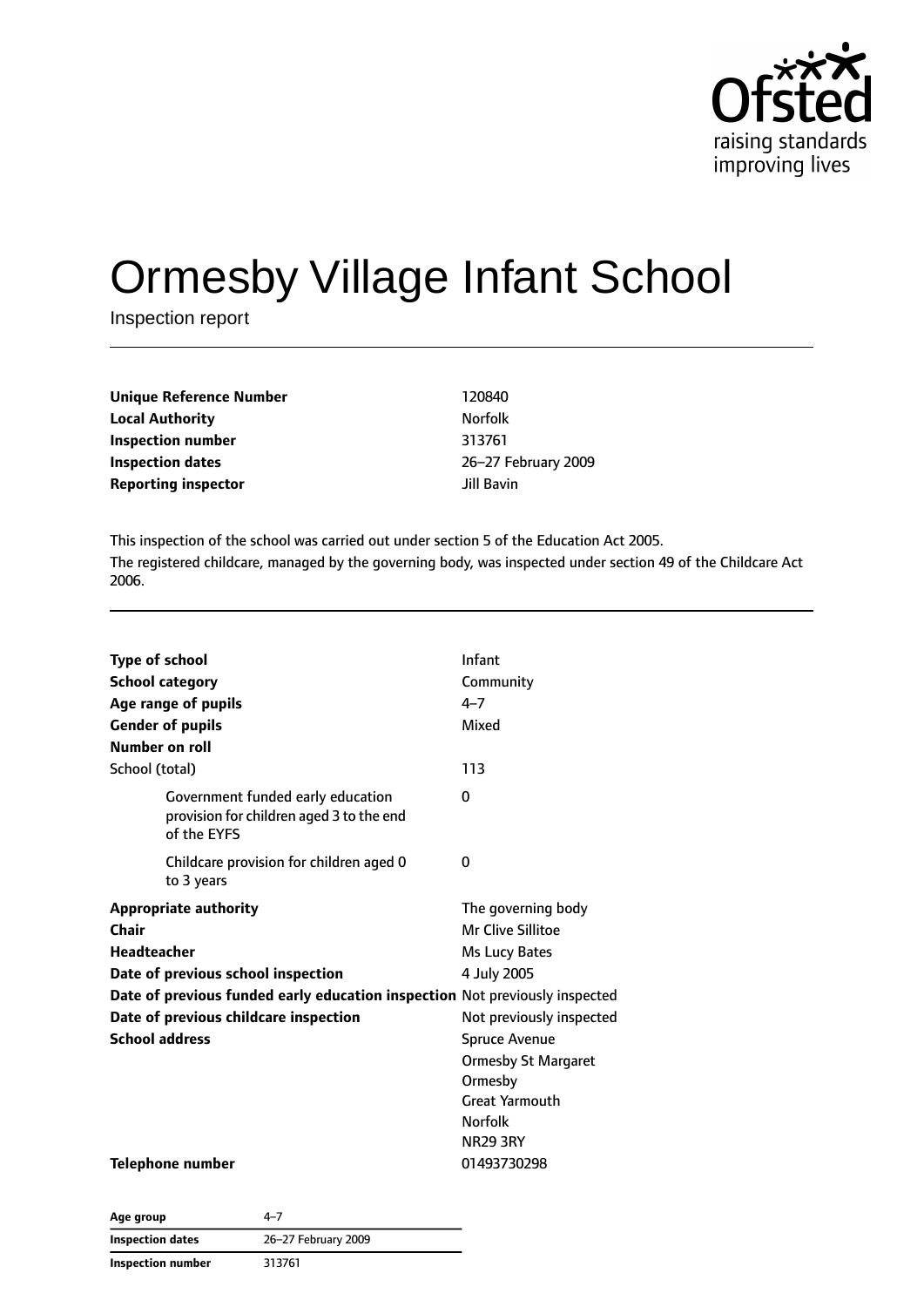

# Ormesby Village Infant School

Inspection report

| <b>Unique Reference Number</b> | 120840         |
|--------------------------------|----------------|
| <b>Local Authority</b>         | <b>Norfolk</b> |
| Inspection number              | 313761         |
| <b>Inspection dates</b>        | $26 - 27$ F    |
| <b>Reporting inspector</b>     | Jill Bavi      |

**Inspection number** 313761 **Inspection dates** 26–27 February 2009 **Jill Bavin** 

This inspection of the school was carried out under section 5 of the Education Act 2005. The registered childcare, managed by the governing body, was inspected under section 49 of the Childcare Act 2006.

| <b>Type of school</b><br><b>School category</b><br>Age range of pupils<br><b>Gender of pupils</b><br>Number on roll | Infant<br>Community<br>$4 - 7$<br>Mixed |
|---------------------------------------------------------------------------------------------------------------------|-----------------------------------------|
| School (total)                                                                                                      | 113                                     |
| Government funded early education<br>provision for children aged 3 to the end<br>of the EYFS                        | 0                                       |
| Childcare provision for children aged 0<br>to 3 years                                                               | 0                                       |
| <b>Appropriate authority</b>                                                                                        | The governing body                      |
| Chair                                                                                                               | Mr Clive Sillitoe                       |
| <b>Headteacher</b>                                                                                                  | Ms Lucy Bates                           |
| Date of previous school inspection                                                                                  | 4 July 2005                             |
| Date of previous funded early education inspection Not previously inspected                                         |                                         |
| Date of previous childcare inspection                                                                               | Not previously inspected                |
| <b>School address</b>                                                                                               | <b>Spruce Avenue</b>                    |
|                                                                                                                     | <b>Ormesby St Margaret</b>              |
|                                                                                                                     | Ormesby                                 |
|                                                                                                                     | <b>Great Yarmouth</b>                   |
|                                                                                                                     | <b>Norfolk</b>                          |
|                                                                                                                     | <b>NR29 3RY</b>                         |
| Telephone number                                                                                                    | 01493730298                             |

| Age group         | $4 - 7$             |
|-------------------|---------------------|
| Inspection dates  | 26-27 February 2009 |
| Inspection number | 313761              |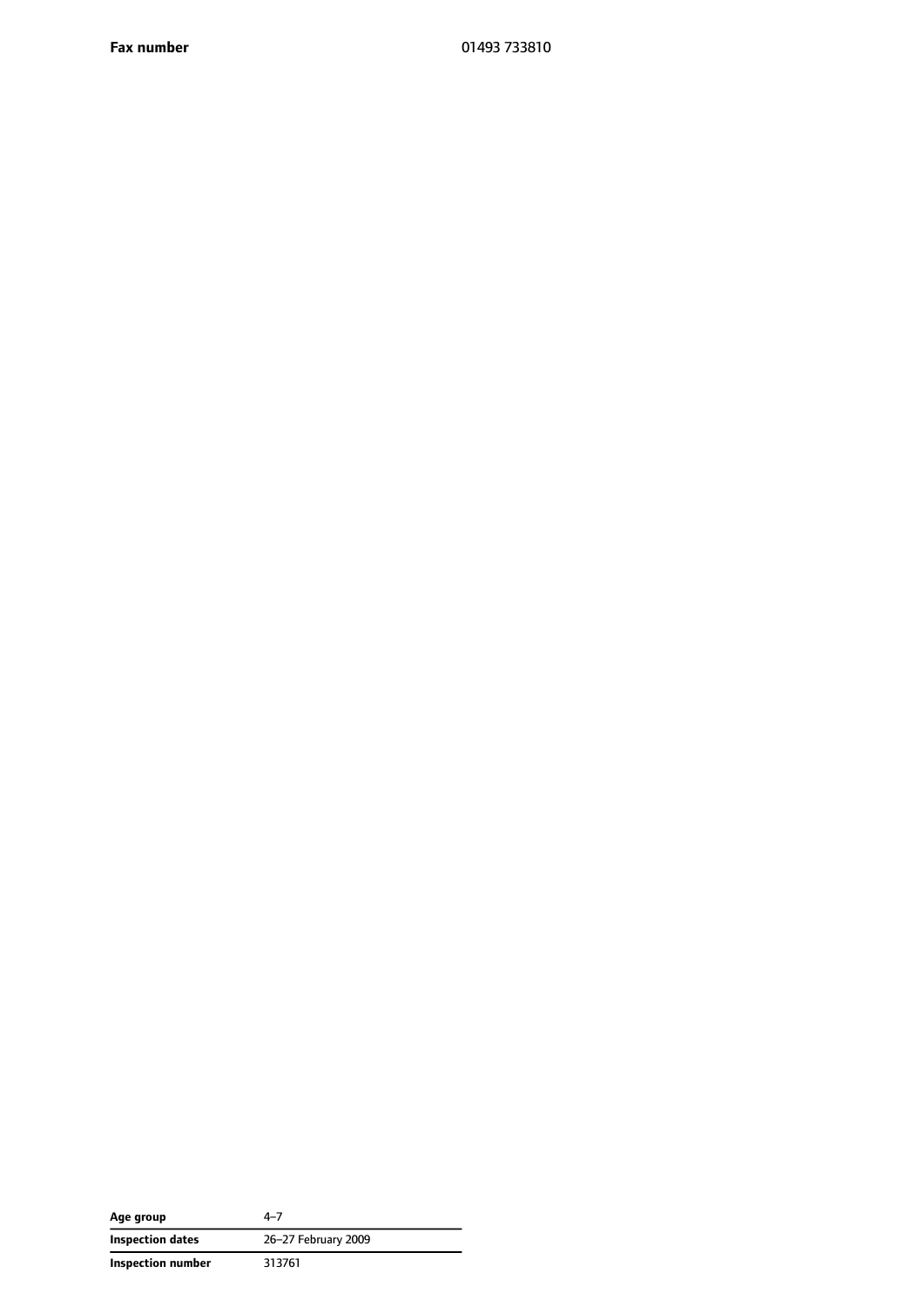**Fax number** 01493 733810

| Age group         | $4 - 7$             |
|-------------------|---------------------|
| Inspection dates  | 26-27 February 2009 |
| Inspection number | 313761              |

 $\overline{\phantom{a}}$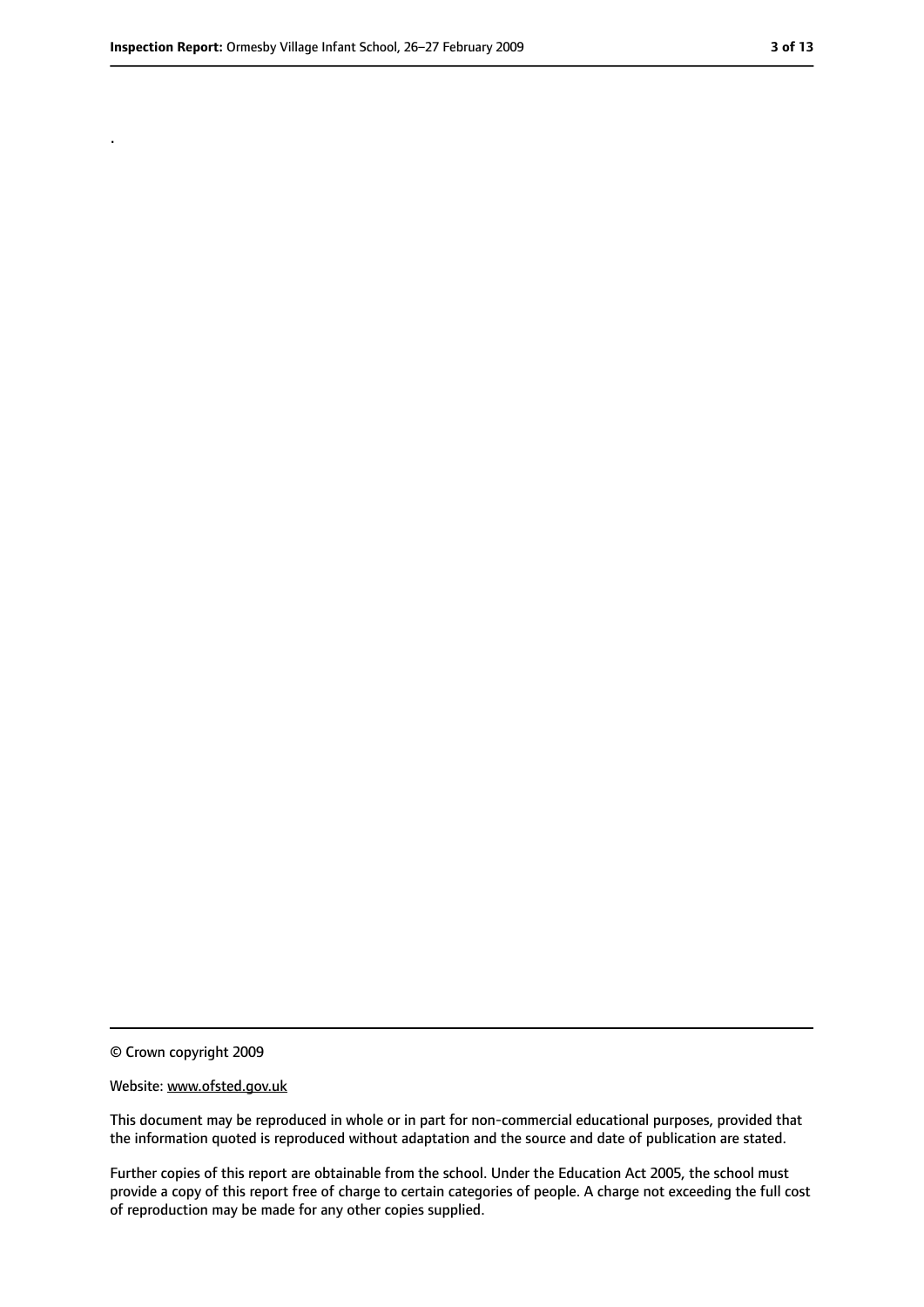.

#### Website: www.ofsted.gov.uk

This document may be reproduced in whole or in part for non-commercial educational purposes, provided that the information quoted is reproduced without adaptation and the source and date of publication are stated.

Further copies of this report are obtainable from the school. Under the Education Act 2005, the school must provide a copy of this report free of charge to certain categories of people. A charge not exceeding the full cost of reproduction may be made for any other copies supplied.

<sup>©</sup> Crown copyright 2009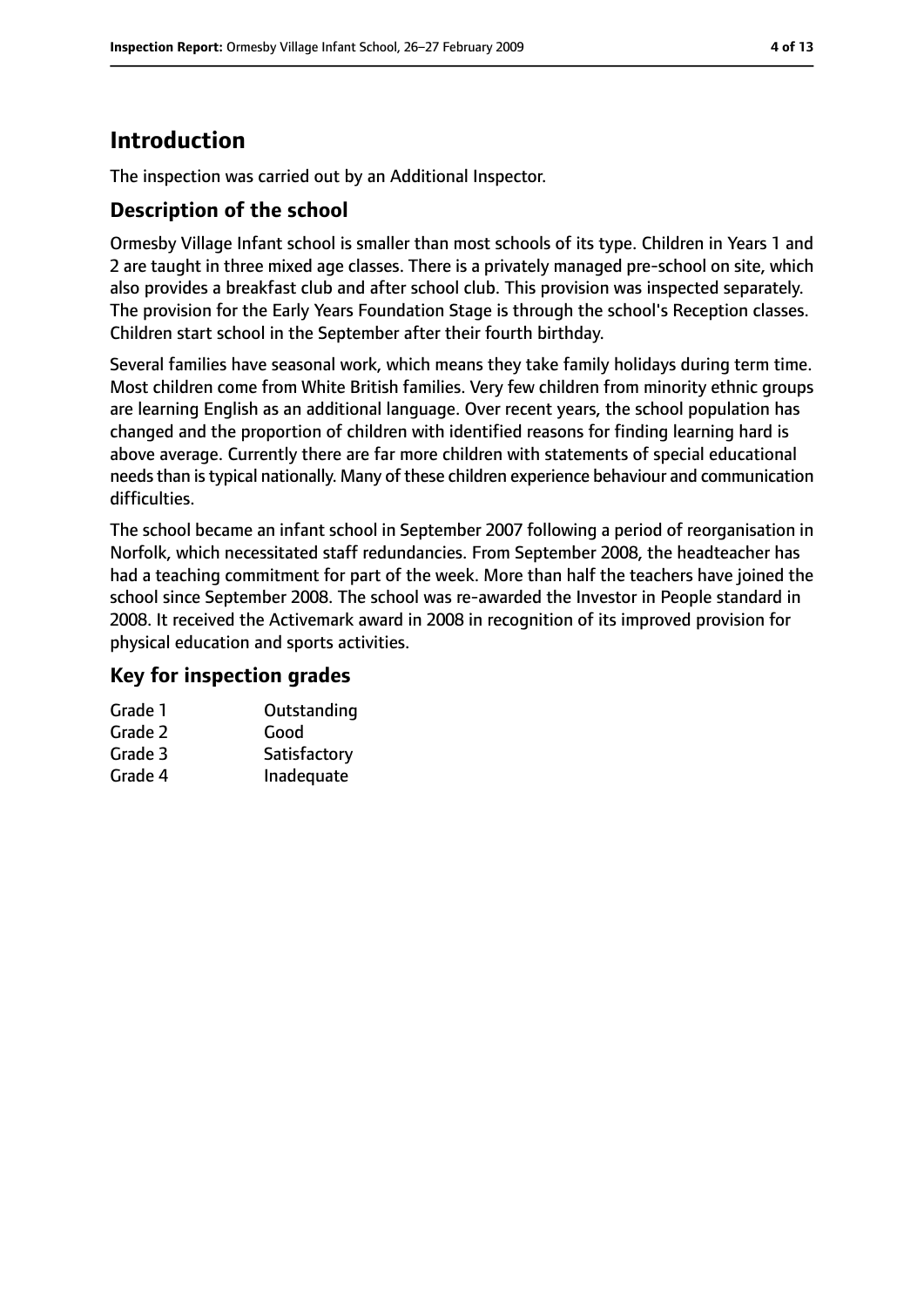# **Introduction**

The inspection was carried out by an Additional Inspector.

#### **Description of the school**

Ormesby Village Infant school is smaller than most schools of its type. Children in Years 1 and 2 are taught in three mixed age classes. There is a privately managed pre-school on site, which also provides a breakfast club and after school club. This provision was inspected separately. The provision for the Early Years Foundation Stage is through the school's Reception classes. Children start school in the September after their fourth birthday.

Several families have seasonal work, which means they take family holidays during term time. Most children come from White British families. Very few children from minority ethnic groups are learning English as an additional language. Over recent years, the school population has changed and the proportion of children with identified reasons for finding learning hard is above average. Currently there are far more children with statements of special educational needs than is typical nationally. Many of these children experience behaviour and communication difficulties.

The school became an infant school in September 2007 following a period of reorganisation in Norfolk, which necessitated staff redundancies. From September 2008, the headteacher has had a teaching commitment for part of the week. More than half the teachers have joined the school since September 2008. The school was re-awarded the Investor in People standard in 2008. It received the Activemark award in 2008 in recognition of its improved provision for physical education and sports activities.

#### **Key for inspection grades**

| Grade 1 | Outstanding  |
|---------|--------------|
| Grade 2 | Good         |
| Grade 3 | Satisfactory |
| Grade 4 | Inadequate   |
|         |              |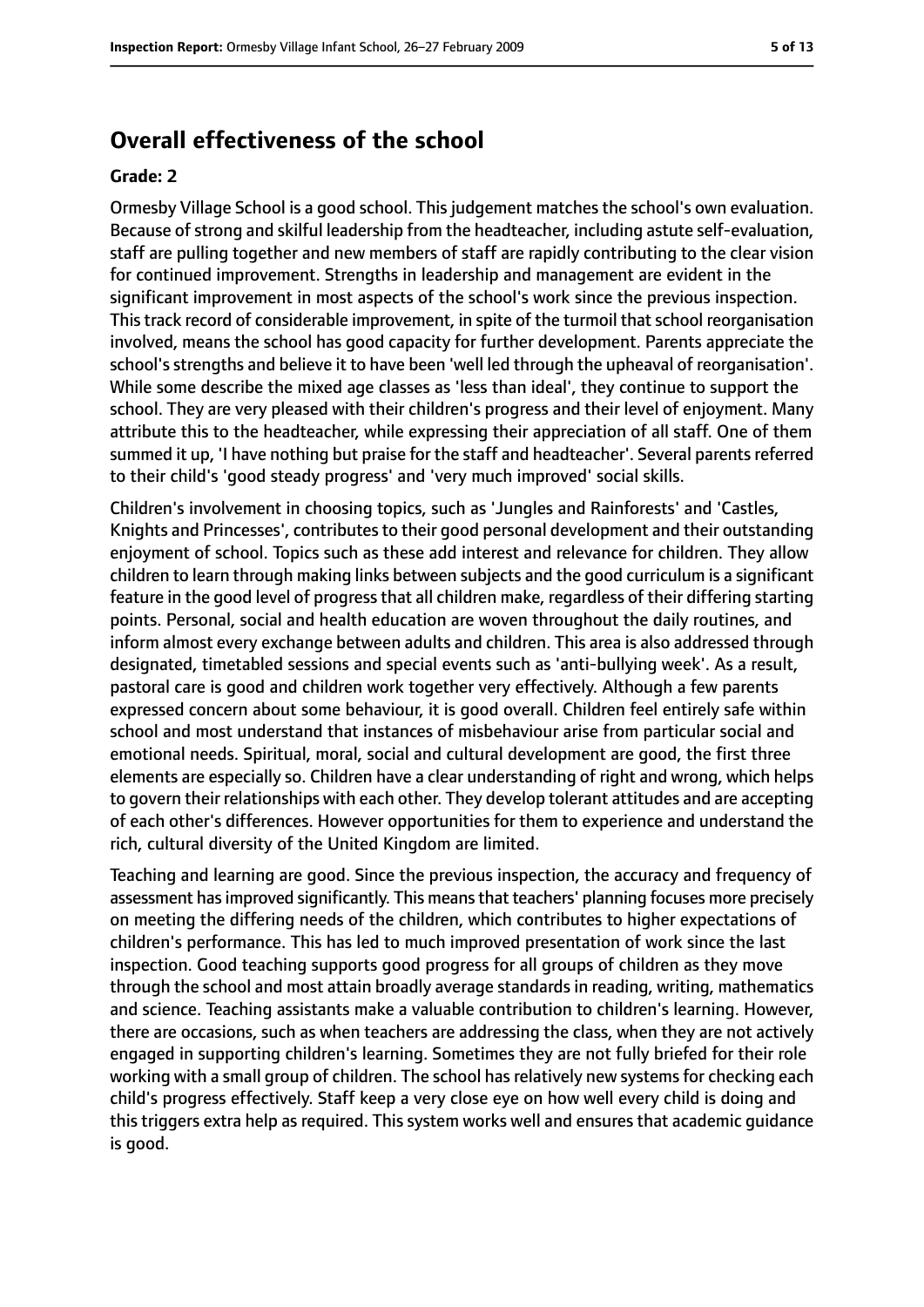## **Overall effectiveness of the school**

#### **Grade: 2**

Ormesby Village School is a good school. This judgement matches the school's own evaluation. Because of strong and skilful leadership from the headteacher, including astute self-evaluation, staff are pulling together and new members of staff are rapidly contributing to the clear vision for continued improvement. Strengths in leadership and management are evident in the significant improvement in most aspects of the school's work since the previous inspection. This track record of considerable improvement, in spite of the turmoil that school reorganisation involved, means the school has good capacity for further development. Parents appreciate the school's strengths and believe it to have been 'well led through the upheaval of reorganisation'. While some describe the mixed age classes as 'less than ideal', they continue to support the school. They are very pleased with their children's progress and their level of enjoyment. Many attribute this to the headteacher, while expressing their appreciation of all staff. One of them summed it up, 'I have nothing but praise for the staff and headteacher'. Several parents referred to their child's 'good steady progress' and 'very much improved' social skills.

Children's involvement in choosing topics, such as 'Jungles and Rainforests' and 'Castles, Knights and Princesses', contributes to their good personal development and their outstanding enjoyment of school. Topics such as these add interest and relevance for children. They allow children to learn through making links between subjects and the good curriculum is a significant feature in the good level of progress that all children make, regardless of their differing starting points. Personal, social and health education are woven throughout the daily routines, and inform almost every exchange between adults and children. This area is also addressed through designated, timetabled sessions and special events such as 'anti-bullying week'. As a result, pastoral care is good and children work together very effectively. Although a few parents expressed concern about some behaviour, it is good overall. Children feel entirely safe within school and most understand that instances of misbehaviour arise from particular social and emotional needs. Spiritual, moral, social and cultural development are good, the first three elements are especially so. Children have a clear understanding of right and wrong, which helps to govern their relationships with each other. They develop tolerant attitudes and are accepting of each other's differences. However opportunities for them to experience and understand the rich, cultural diversity of the United Kingdom are limited.

Teaching and learning are good. Since the previous inspection, the accuracy and frequency of assessment has improved significantly. This means that teachers' planning focuses more precisely on meeting the differing needs of the children, which contributes to higher expectations of children's performance. This has led to much improved presentation of work since the last inspection. Good teaching supports good progress for all groups of children as they move through the school and most attain broadly average standards in reading, writing, mathematics and science. Teaching assistants make a valuable contribution to children's learning. However, there are occasions, such as when teachers are addressing the class, when they are not actively engaged in supporting children's learning. Sometimes they are not fully briefed for their role working with a small group of children. The school has relatively new systems for checking each child's progress effectively. Staff keep a very close eye on how well every child is doing and this triggers extra help as required. This system works well and ensures that academic guidance is good.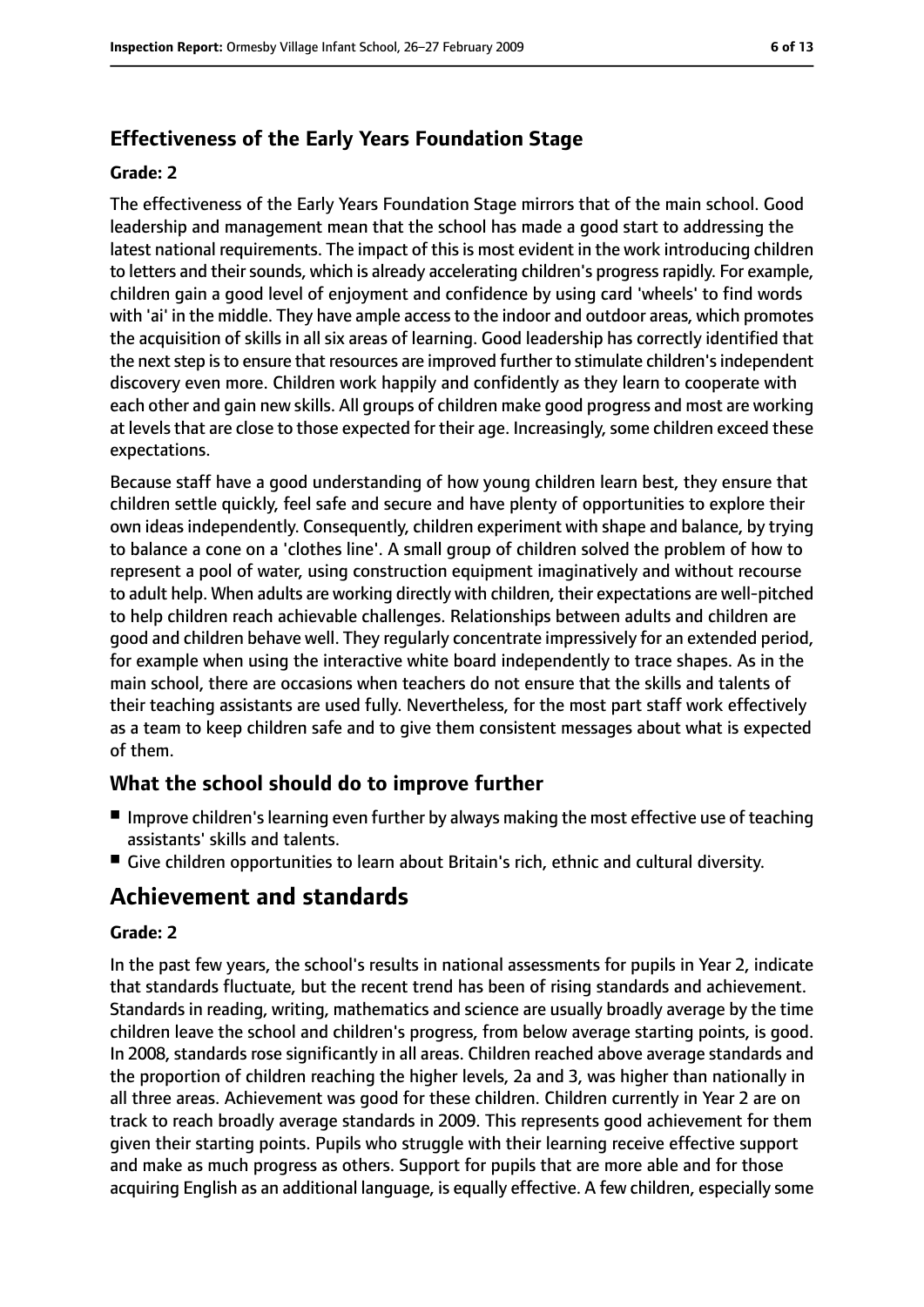## **Effectiveness of the Early Years Foundation Stage**

#### **Grade: 2**

The effectiveness of the Early Years Foundation Stage mirrors that of the main school. Good leadership and management mean that the school has made a good start to addressing the latest national requirements. The impact of this is most evident in the work introducing children to letters and their sounds, which is already accelerating children's progress rapidly. For example, children gain a good level of enjoyment and confidence by using card 'wheels' to find words with 'ai' in the middle. They have ample accessto the indoor and outdoor areas, which promotes the acquisition of skills in all six areas of learning. Good leadership has correctly identified that the next step is to ensure that resources are improved further to stimulate children's independent discovery even more. Children work happily and confidently as they learn to cooperate with each other and gain new skills. All groups of children make good progress and most are working at levels that are close to those expected for their age. Increasingly, some children exceed these expectations.

Because staff have a good understanding of how young children learn best, they ensure that children settle quickly, feel safe and secure and have plenty of opportunities to explore their own ideas independently. Consequently, children experiment with shape and balance, by trying to balance a cone on a 'clothes line'. A small group of children solved the problem of how to represent a pool of water, using construction equipment imaginatively and without recourse to adult help. When adults are working directly with children, their expectations are well-pitched to help children reach achievable challenges. Relationships between adults and children are good and children behave well. They regularly concentrate impressively for an extended period, for example when using the interactive white board independently to trace shapes. As in the main school, there are occasions when teachers do not ensure that the skills and talents of their teaching assistants are used fully. Nevertheless, for the most part staff work effectively as a team to keep children safe and to give them consistent messages about what is expected of them.

#### **What the school should do to improve further**

- Improve children's learning even further by always making the most effective use of teaching assistants' skills and talents.
- Give children opportunities to learn about Britain's rich, ethnic and cultural diversity.

## **Achievement and standards**

#### **Grade: 2**

In the past few years, the school's results in national assessments for pupils in Year 2, indicate that standards fluctuate, but the recent trend has been of rising standards and achievement. Standards in reading, writing, mathematics and science are usually broadly average by the time children leave the school and children's progress, from below average starting points, is good. In 2008, standards rose significantly in all areas. Children reached above average standards and the proportion of children reaching the higher levels, 2a and 3, was higher than nationally in all three areas. Achievement was good for these children. Children currently in Year 2 are on track to reach broadly average standards in 2009. This represents good achievement for them given their starting points. Pupils who struggle with their learning receive effective support and make as much progress as others. Support for pupils that are more able and for those acquiring English as an additional language, is equally effective. A few children, especially some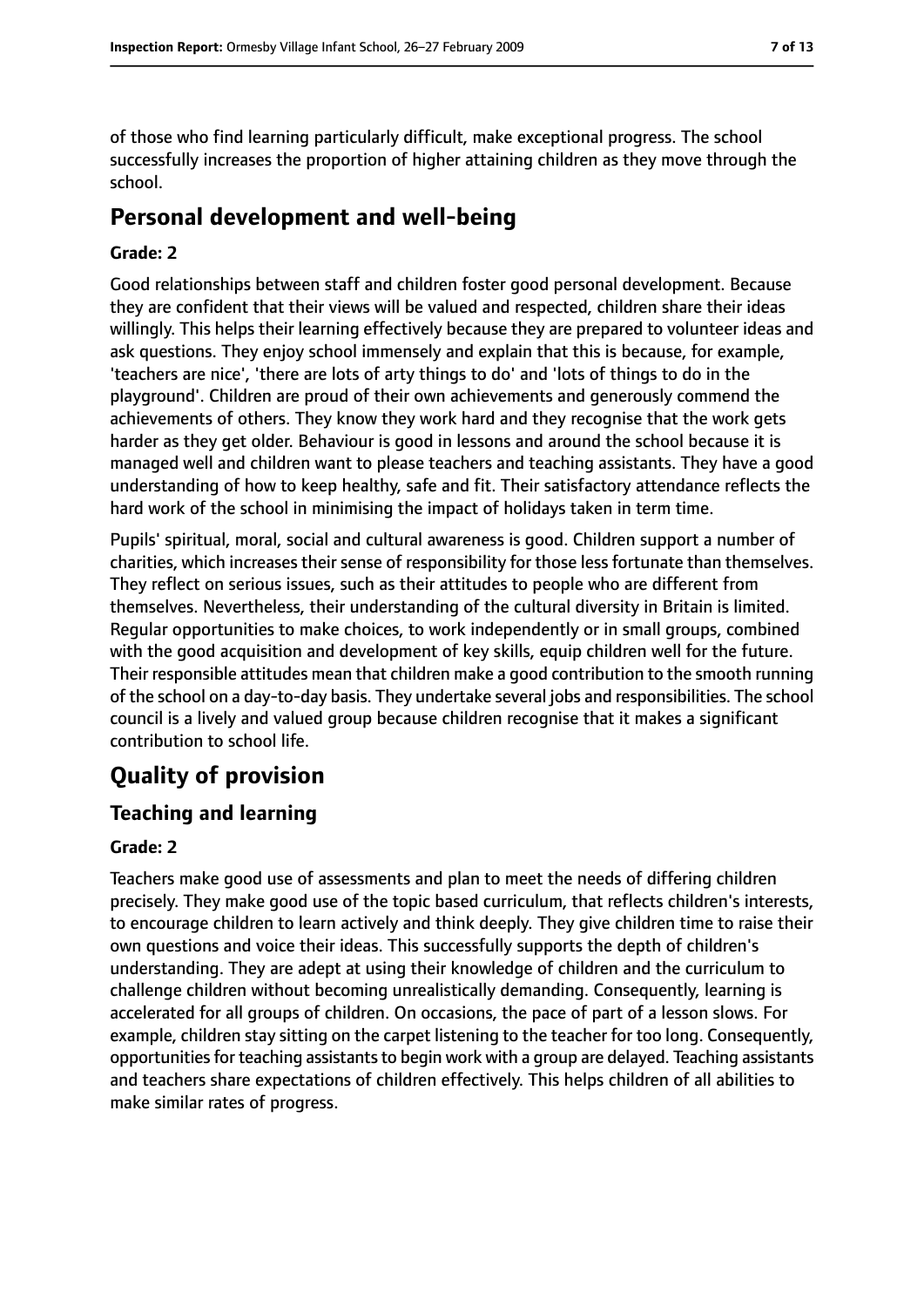of those who find learning particularly difficult, make exceptional progress. The school successfully increases the proportion of higher attaining children as they move through the school.

## **Personal development and well-being**

#### **Grade: 2**

Good relationships between staff and children foster good personal development. Because they are confident that their views will be valued and respected, children share their ideas willingly. This helps their learning effectively because they are prepared to volunteer ideas and ask questions. They enjoy school immensely and explain that this is because, for example, 'teachers are nice', 'there are lots of arty things to do' and 'lots of things to do in the playground'. Children are proud of their own achievements and generously commend the achievements of others. They know they work hard and they recognise that the work gets harder as they get older. Behaviour is good in lessons and around the school because it is managed well and children want to please teachers and teaching assistants. They have a good understanding of how to keep healthy, safe and fit. Their satisfactory attendance reflects the hard work of the school in minimising the impact of holidays taken in term time.

Pupils' spiritual, moral, social and cultural awareness is good. Children support a number of charities, which increases their sense of responsibility for those less fortunate than themselves. They reflect on serious issues, such as their attitudes to people who are different from themselves. Nevertheless, their understanding of the cultural diversity in Britain is limited. Regular opportunities to make choices, to work independently or in small groups, combined with the good acquisition and development of key skills, equip children well for the future. Their responsible attitudes mean that children make a good contribution to the smooth running of the school on a day-to-day basis. They undertake several jobs and responsibilities. The school council is a lively and valued group because children recognise that it makes a significant contribution to school life.

# **Quality of provision**

#### **Teaching and learning**

#### **Grade: 2**

Teachers make good use of assessments and plan to meet the needs of differing children precisely. They make good use of the topic based curriculum, that reflects children's interests, to encourage children to learn actively and think deeply. They give children time to raise their own questions and voice their ideas. This successfully supports the depth of children's understanding. They are adept at using their knowledge of children and the curriculum to challenge children without becoming unrealistically demanding. Consequently, learning is accelerated for all groups of children. On occasions, the pace of part of a lesson slows. For example, children stay sitting on the carpet listening to the teacher for too long. Consequently, opportunities for teaching assistants to begin work with a group are delayed. Teaching assistants and teachers share expectations of children effectively. This helps children of all abilities to make similar rates of progress.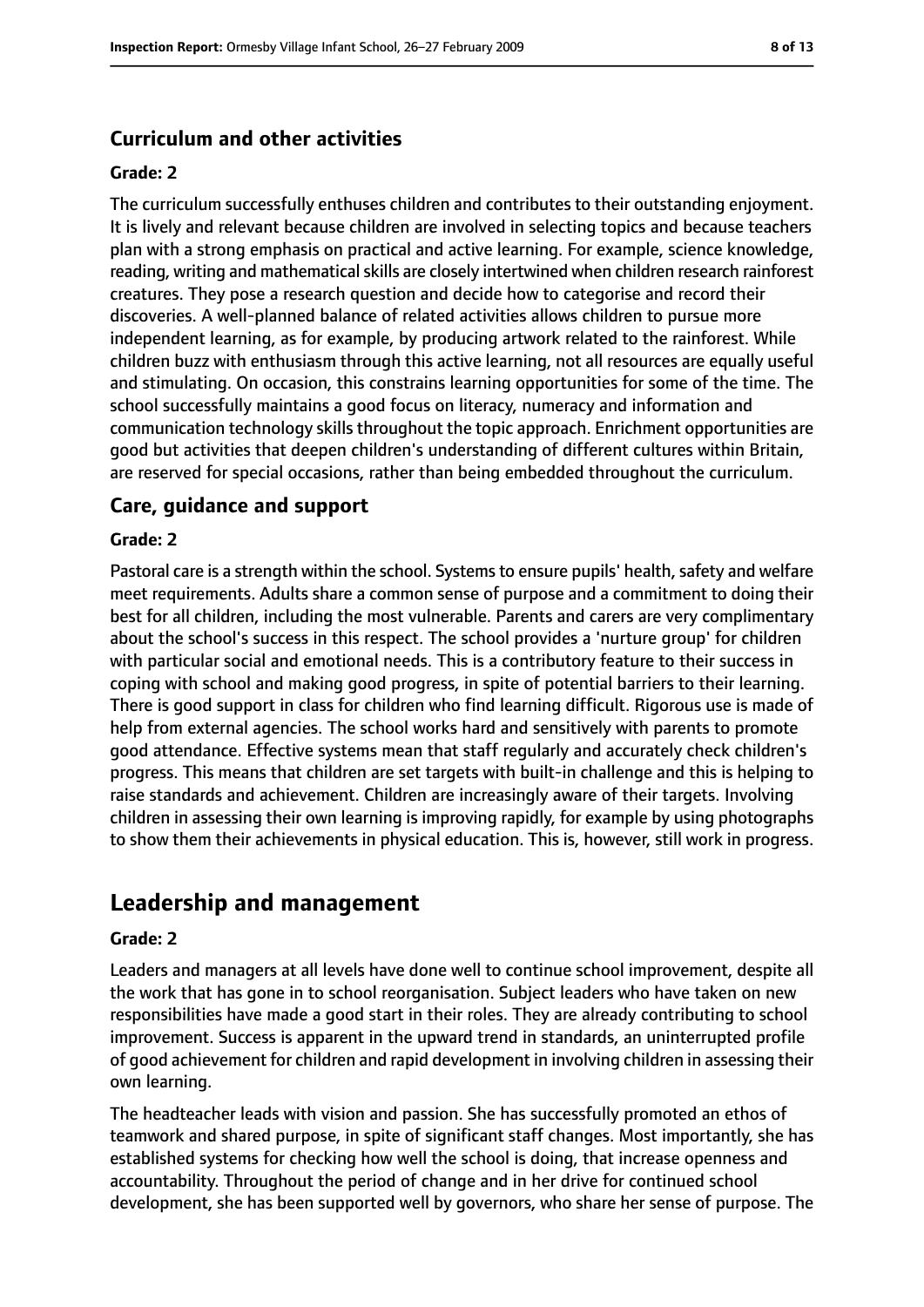#### **Curriculum and other activities**

#### **Grade: 2**

The curriculum successfully enthuses children and contributes to their outstanding enjoyment. It is lively and relevant because children are involved in selecting topics and because teachers plan with a strong emphasis on practical and active learning. For example, science knowledge, reading, writing and mathematical skills are closely intertwined when children research rainforest creatures. They pose a research question and decide how to categorise and record their discoveries. A well-planned balance of related activities allows children to pursue more independent learning, as for example, by producing artwork related to the rainforest. While children buzz with enthusiasm through this active learning, not all resources are equally useful and stimulating. On occasion, this constrains learning opportunities for some of the time. The school successfully maintains a good focus on literacy, numeracy and information and communication technology skills throughout the topic approach. Enrichment opportunities are good but activities that deepen children's understanding of different cultures within Britain, are reserved for special occasions, rather than being embedded throughout the curriculum.

#### **Care, guidance and support**

#### **Grade: 2**

Pastoral care is a strength within the school. Systems to ensure pupils' health, safety and welfare meet requirements. Adults share a common sense of purpose and a commitment to doing their best for all children, including the most vulnerable. Parents and carers are very complimentary about the school's success in this respect. The school provides a 'nurture group' for children with particular social and emotional needs. This is a contributory feature to their success in coping with school and making good progress, in spite of potential barriers to their learning. There is good support in class for children who find learning difficult. Rigorous use is made of help from external agencies. The school works hard and sensitively with parents to promote good attendance. Effective systems mean that staff regularly and accurately check children's progress. This means that children are set targets with built-in challenge and this is helping to raise standards and achievement. Children are increasingly aware of their targets. Involving children in assessing their own learning is improving rapidly, for example by using photographs to show them their achievements in physical education. This is, however, still work in progress.

## **Leadership and management**

#### **Grade: 2**

Leaders and managers at all levels have done well to continue school improvement, despite all the work that has gone in to school reorganisation. Subject leaders who have taken on new responsibilities have made a good start in their roles. They are already contributing to school improvement. Success is apparent in the upward trend in standards, an uninterrupted profile of good achievement for children and rapid development in involving children in assessing their own learning.

The headteacher leads with vision and passion. She has successfully promoted an ethos of teamwork and shared purpose, in spite of significant staff changes. Most importantly, she has established systems for checking how well the school is doing, that increase openness and accountability. Throughout the period of change and in her drive for continued school development, she has been supported well by governors, who share her sense of purpose. The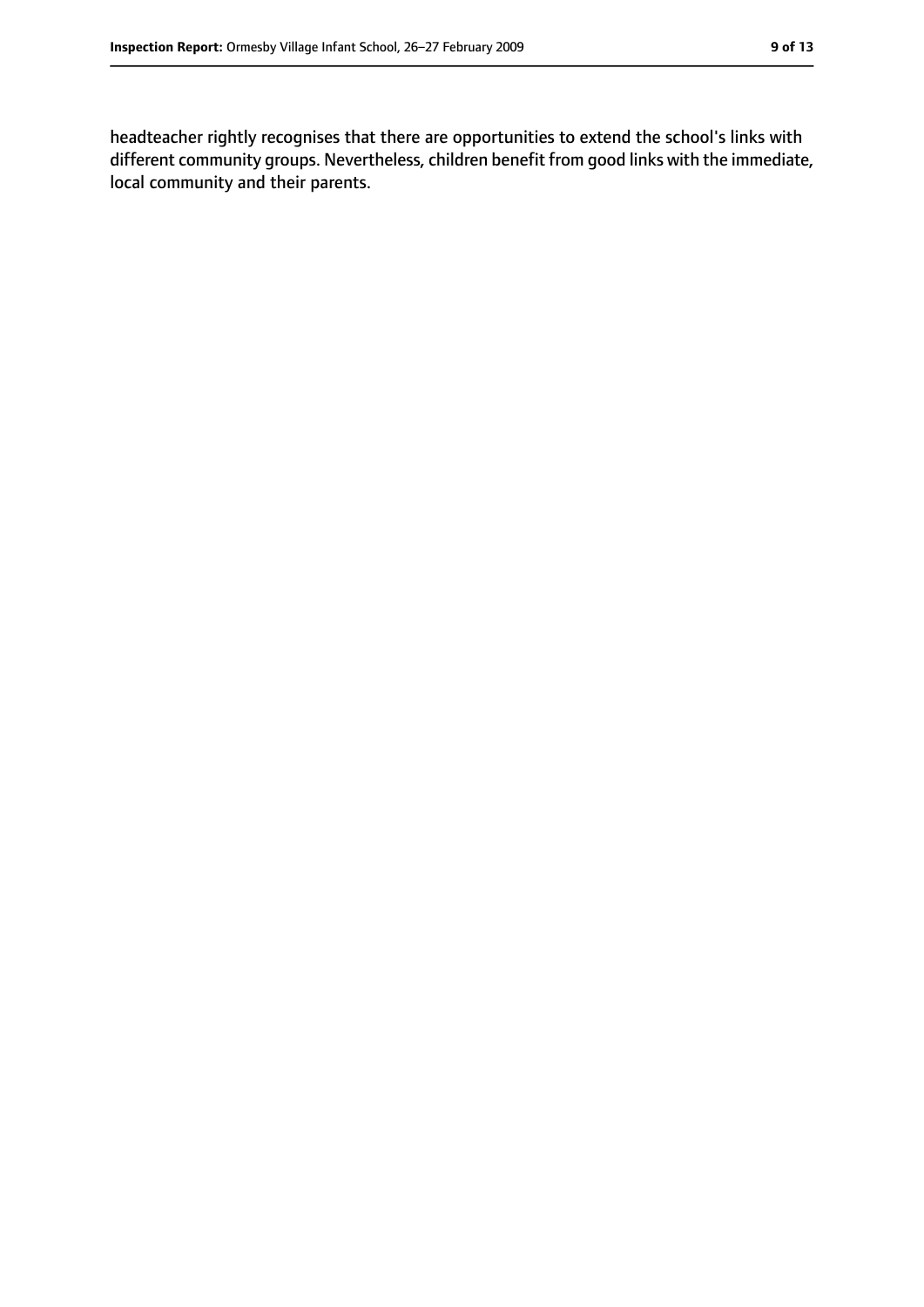headteacher rightly recognises that there are opportunities to extend the school's links with different community groups. Nevertheless, children benefit from good links with the immediate, local community and their parents.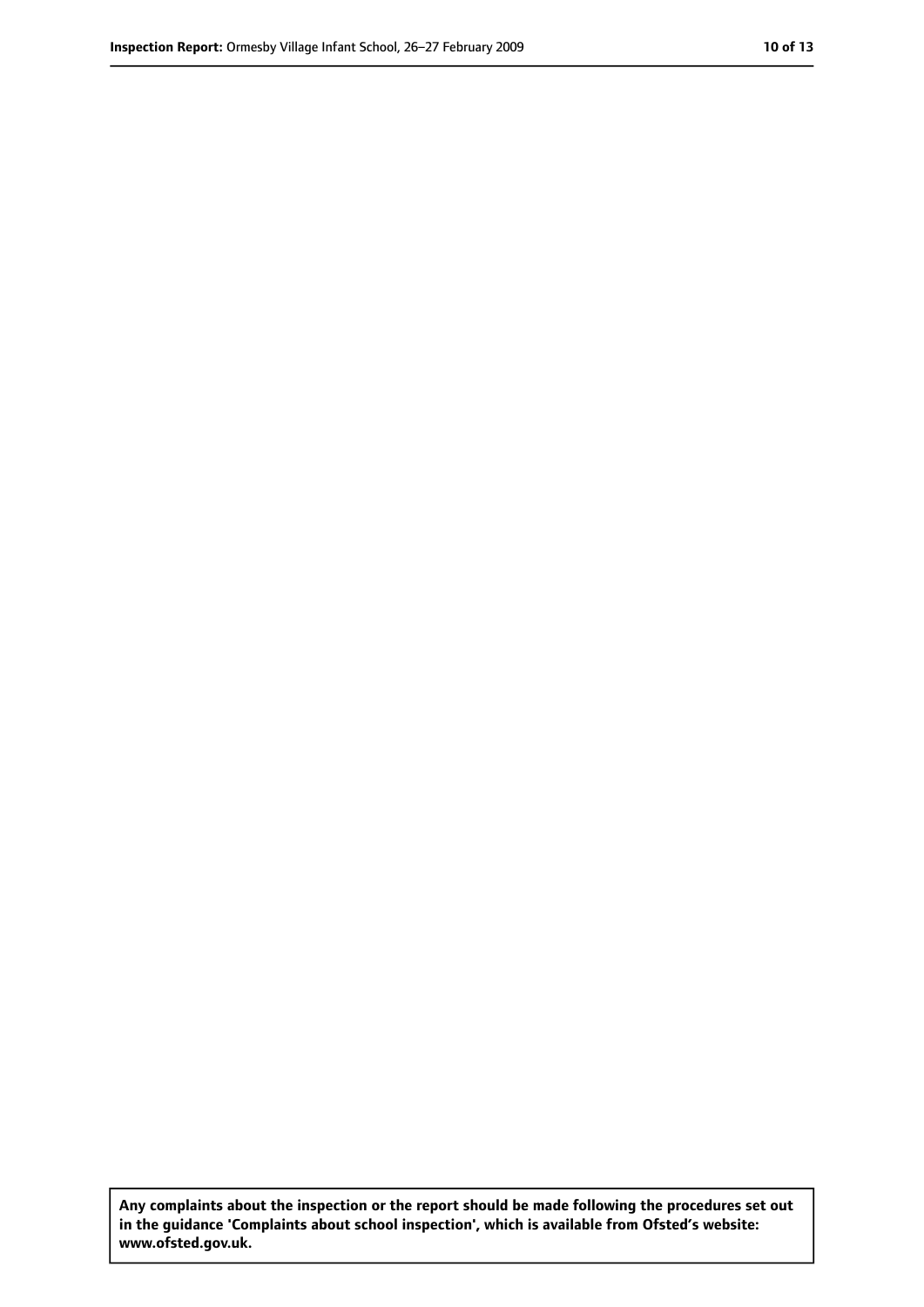**Any complaints about the inspection or the report should be made following the procedures set out in the guidance 'Complaints about school inspection', which is available from Ofsted's website: www.ofsted.gov.uk.**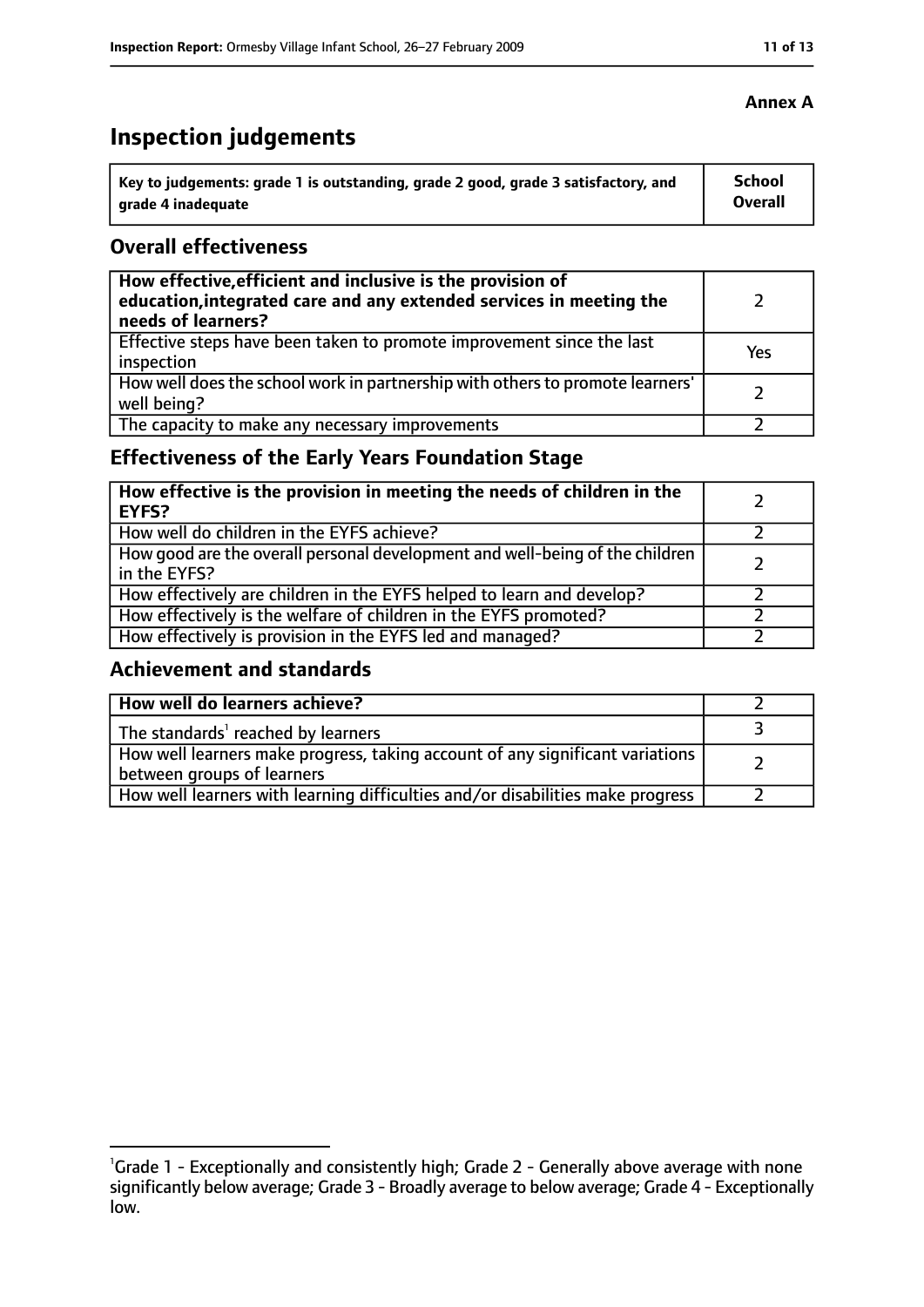# **Inspection judgements**

| Key to judgements: grade 1 is outstanding, grade 2 good, grade 3 satisfactory, and | <b>School</b> |
|------------------------------------------------------------------------------------|---------------|
| arade 4 inadequate                                                                 | Overall       |

#### **Overall effectiveness**

| How effective, efficient and inclusive is the provision of<br>education, integrated care and any extended services in meeting the<br>needs of learners? |     |
|---------------------------------------------------------------------------------------------------------------------------------------------------------|-----|
| Effective steps have been taken to promote improvement since the last<br>inspection                                                                     | Yes |
| How well does the school work in partnership with others to promote learners'<br>well being?                                                            |     |
| The capacity to make any necessary improvements                                                                                                         |     |

## **Effectiveness of the Early Years Foundation Stage**

| How effective is the provision in meeting the needs of children in the<br><b>EYFS?</b>       |  |
|----------------------------------------------------------------------------------------------|--|
| How well do children in the EYFS achieve?                                                    |  |
| How good are the overall personal development and well-being of the children<br>in the EYFS? |  |
| How effectively are children in the EYFS helped to learn and develop?                        |  |
| How effectively is the welfare of children in the EYFS promoted?                             |  |
| How effectively is provision in the EYFS led and managed?                                    |  |

#### **Achievement and standards**

| How well do learners achieve?                                                                               |  |
|-------------------------------------------------------------------------------------------------------------|--|
| The standards <sup>1</sup> reached by learners                                                              |  |
| How well learners make progress, taking account of any significant variations<br>between groups of learners |  |
| How well learners with learning difficulties and/or disabilities make progress                              |  |

#### **Annex A**

<sup>&</sup>lt;sup>1</sup>Grade 1 - Exceptionally and consistently high; Grade 2 - Generally above average with none significantly below average; Grade 3 - Broadly average to below average; Grade 4 - Exceptionally low.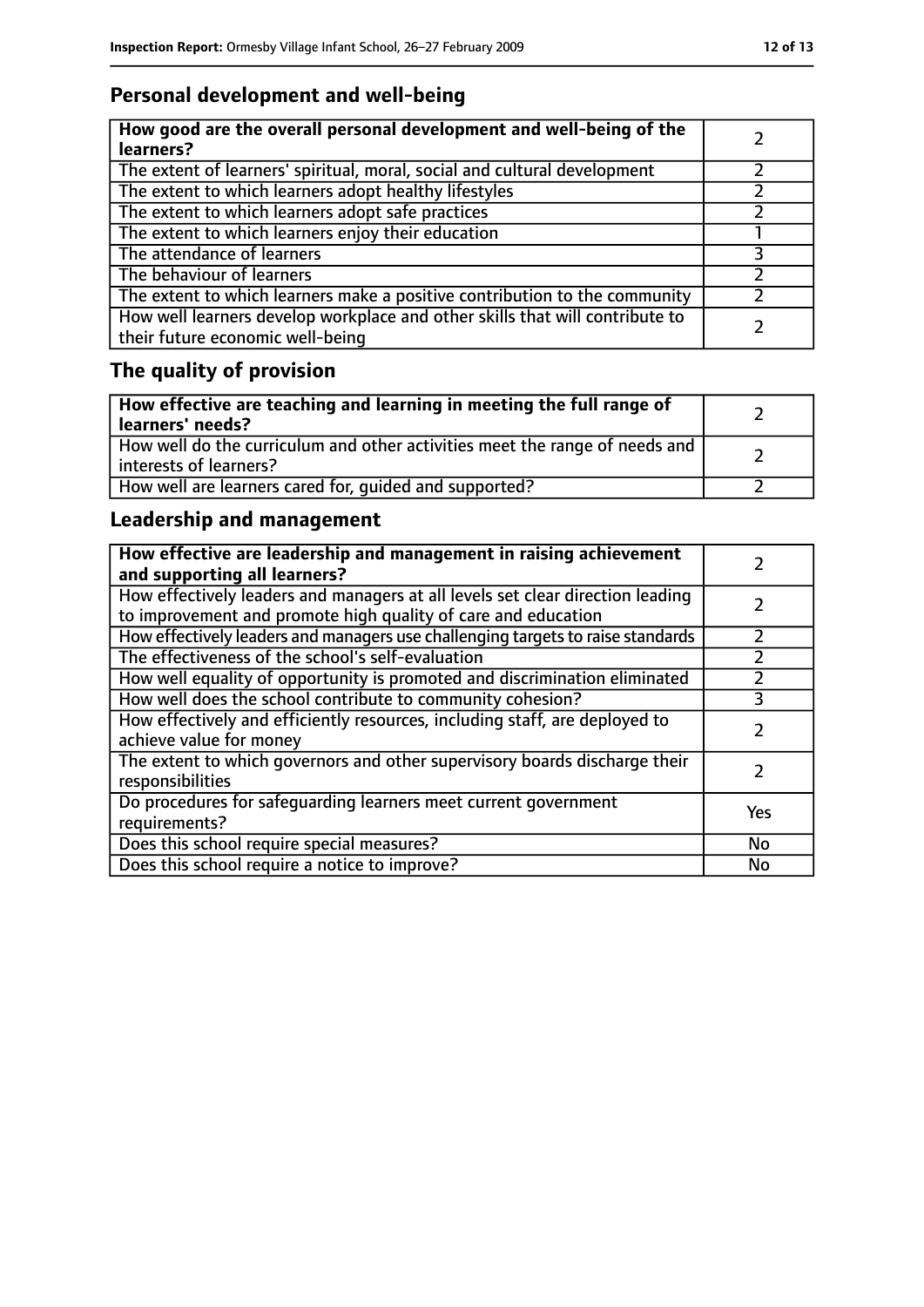# **Personal development and well-being**

| How good are the overall personal development and well-being of the<br>learners?                                 |  |
|------------------------------------------------------------------------------------------------------------------|--|
| The extent of learners' spiritual, moral, social and cultural development                                        |  |
| The extent to which learners adopt healthy lifestyles                                                            |  |
| The extent to which learners adopt safe practices                                                                |  |
| The extent to which learners enjoy their education                                                               |  |
| The attendance of learners                                                                                       |  |
| The behaviour of learners                                                                                        |  |
| The extent to which learners make a positive contribution to the community                                       |  |
| How well learners develop workplace and other skills that will contribute to<br>their future economic well-being |  |

# **The quality of provision**

| How effective are teaching and learning in meeting the full range of<br>learners' needs?              |  |
|-------------------------------------------------------------------------------------------------------|--|
| How well do the curriculum and other activities meet the range of needs and<br>interests of learners? |  |
| How well are learners cared for, quided and supported?                                                |  |

## **Leadership and management**

| How effective are leadership and management in raising achievement<br>and supporting all learners?                                              |     |
|-------------------------------------------------------------------------------------------------------------------------------------------------|-----|
| How effectively leaders and managers at all levels set clear direction leading<br>to improvement and promote high quality of care and education |     |
| How effectively leaders and managers use challenging targets to raise standards                                                                 |     |
| The effectiveness of the school's self-evaluation                                                                                               |     |
| How well equality of opportunity is promoted and discrimination eliminated                                                                      |     |
| How well does the school contribute to community cohesion?                                                                                      | 3   |
| How effectively and efficiently resources, including staff, are deployed to<br>achieve value for money                                          |     |
| The extent to which governors and other supervisory boards discharge their<br>responsibilities                                                  |     |
| Do procedures for safequarding learners meet current government<br>requirements?                                                                | Yes |
| Does this school require special measures?                                                                                                      | No  |
| Does this school require a notice to improve?                                                                                                   | No  |